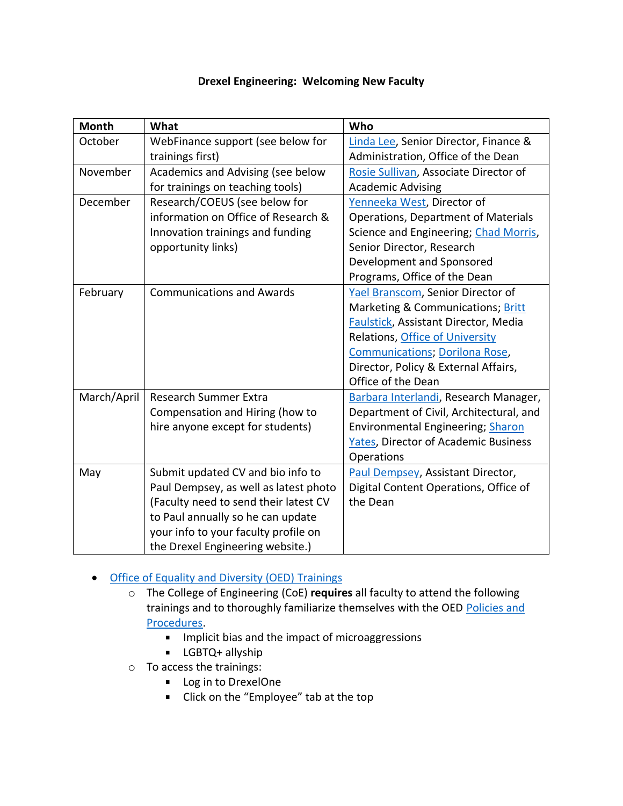| <b>Month</b> | What                                  | Who                                         |
|--------------|---------------------------------------|---------------------------------------------|
| October      | WebFinance support (see below for     | Linda Lee, Senior Director, Finance &       |
|              | trainings first)                      | Administration, Office of the Dean          |
| November     | Academics and Advising (see below     | Rosie Sullivan, Associate Director of       |
|              | for trainings on teaching tools)      | <b>Academic Advising</b>                    |
| December     | Research/COEUS (see below for         | Yenneeka West, Director of                  |
|              | information on Office of Research &   | <b>Operations, Department of Materials</b>  |
|              | Innovation trainings and funding      | Science and Engineering; Chad Morris,       |
|              | opportunity links)                    | Senior Director, Research                   |
|              |                                       | Development and Sponsored                   |
|              |                                       | Programs, Office of the Dean                |
| February     | <b>Communications and Awards</b>      | Yael Branscom, Senior Director of           |
|              |                                       | Marketing & Communications; Britt           |
|              |                                       | Faulstick, Assistant Director, Media        |
|              |                                       | Relations, Office of University             |
|              |                                       | <b>Communications; Dorilona Rose,</b>       |
|              |                                       | Director, Policy & External Affairs,        |
|              |                                       | Office of the Dean                          |
| March/April  | <b>Research Summer Extra</b>          | Barbara Interlandi, Research Manager,       |
|              | Compensation and Hiring (how to       | Department of Civil, Architectural, and     |
|              | hire anyone except for students)      | <b>Environmental Engineering; Sharon</b>    |
|              |                                       | <b>Yates, Director of Academic Business</b> |
|              |                                       | Operations                                  |
| May          | Submit updated CV and bio info to     | Paul Dempsey, Assistant Director,           |
|              | Paul Dempsey, as well as latest photo | Digital Content Operations, Office of       |
|              | (Faculty need to send their latest CV | the Dean                                    |
|              | to Paul annually so he can update     |                                             |
|              | your info to your faculty profile on  |                                             |
|              | the Drexel Engineering website.)      |                                             |

## **Drexel Engineering: Welcoming New Faculty**

## • [Office of Equality and Diversity](https://drexel.edu/oed/training/overview/) (OED) Trainings

- o The College of Engineering (CoE) **requires** all faculty to attend the following trainings and to thoroughly familiarize themselves with the OED Policies and [Procedures.](https://drexel.edu/oed/policies/overview/)
	- **IMPLE 11.5 Implicit bias and the impact of microaggressions**
	- **-** LGBTQ+ allyship
- o To access the trainings:
	- **Log in to DrexelOne**
	- Click on the "Employee" tab at the top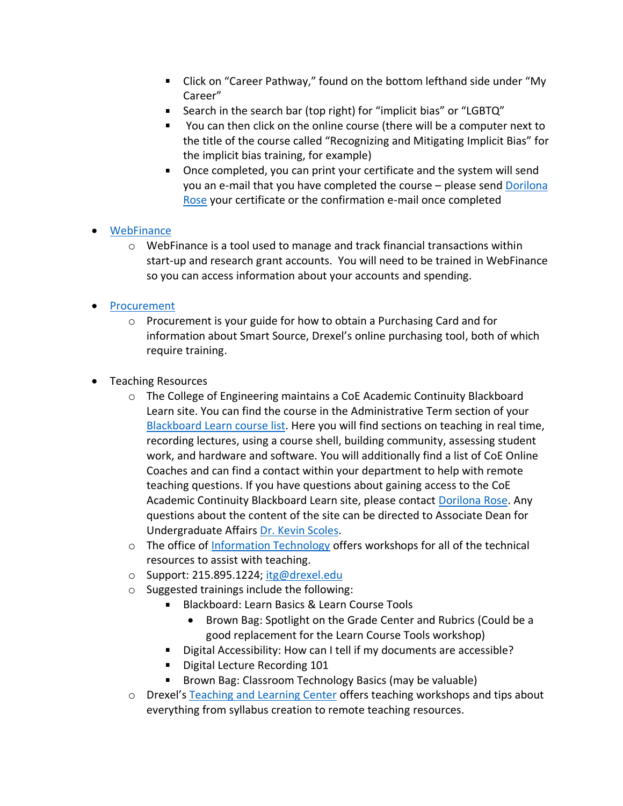- Click on "Career Pathway," found on the bottom lefthand side under "My Career"
- Search in the search bar (top right) for "implicit bias" or "LGBTQ"
- You can then click on the online course (there will be a computer next to  $\blacksquare$ the title of the course called "Recognizing and Mitigating Implicit Bias" for the implicit bias training, for example)
- Once completed, you can print your certificate and the system will send you an e-mail that you have completed the course – please sen[d Dorilona](mailto:dr62@drexel.edu?subject=OED%20Trainings)  [Rose](mailto:dr62@drexel.edu?subject=OED%20Trainings) your certificate or the confirmation e-mail once completed

## • [WebFinance](https://drexel.edu/it/services/catalog/webfinance/)

o WebFinance is a tool used to manage and track financial transactions within start-up and research grant accounts. You will need to be trained in WebFinance so you can access information about your accounts and spending.

## • [Procurement](https://drexel.edu/procurement/)

- $\circ$  Procurement is your guide for how to obtain a Purchasing Card and for information about Smart Source, Drexel's online purchasing tool, both of which require training.
- Teaching Resources
	- o The College of Engineering maintains a CoE Academic Continuity Blackboard Learn site. You can find the course in the Administrative Term section of your Blackboard [Learn course list.](https://learn.dcollege.net/) Here you will find sections on teaching in real time, recording lectures, using a course shell, building community, assessing student work, and hardware and software. You will additionally find a list of CoE Online Coaches and can find a contact within your department to help with remote teaching questions. If you have questions about gaining access to the CoE Academic Continuity Blackboard Learn site, please contact [Dorilona Rose.](mailto:dr62@drexel.edu?subject=CoE%20Academic%20Continuity%20Blackboard%20Learn%20Access) Any questions about the content of the site can be directed to Associate Dean for Undergraduate Affairs [Dr. Kevin Scoles.](mailto:scoleskj@drexel.edu%20?subject=CoE%20Blackboard%20Learn%20Site%20questions)
	- $\circ$  The office of [Information Technology](https://drexel.edu/it/services/workshops/) offers workshops for all of the technical resources to assist with teaching.
	- o Support: 215.895.1224; [itg@drexel.edu](mailto:itg@drexel.edu)
	- o Suggested trainings include the following:
		- Blackboard: Learn Basics & Learn Course Tools
			- Brown Bag: Spotlight on the Grade Center and Rubrics (Could be a good replacement for the Learn Course Tools workshop)
		- Digital Accessibility: How can I tell if my documents are accessible?  $\mathbf{u}$
		- Digital Lecture Recording 101  $\mathbf{u}$  .
		- Brown Bag: Classroom Technology Basics (may be valuable)
	- o Drexel's [Teaching and Learning Center](https://drexel.edu/facultyaffairs/teaching-learning/overview/) offers teaching workshops and tips about everything from syllabus creation to remote teaching resources.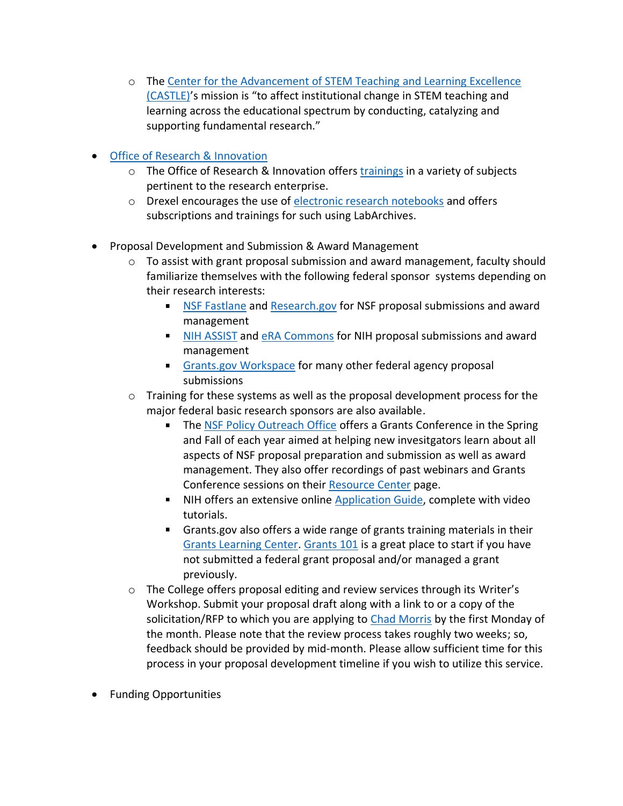- o The [Center for the Advancement of STEM Teaching and Learning Excellence](https://drexel.edu/castle/)  [\(CASTLE\)](https://drexel.edu/castle/)'s mission is "to affect institutional change in STEM teaching and learning across the educational spectrum by conducting, catalyzing and supporting fundamental research."
- [Office of Research & Innovation](https://drexel.edu/research/)
	- o The Office of Research & Innovation offers [trainings](https://drexel.edu/research/news/events/) in a variety of subjects pertinent to the research enterprise.
	- o Drexel encourages the use of [electronic research notebooks](https://drexel.edu/research/resources/electronic-research-notebooks/) and offers subscriptions and trainings for such using LabArchives.
- Proposal Development and Submission & Award Management
	- $\circ$  To assist with grant proposal submission and award management, faculty should familiarize themselves with the following federal sponsor systems depending on their research interests:
		- **[NSF Fastlane](https://www.fastlane.nsf.gov/fastlane.jsp) and [Research.gov](https://www.research.gov/research-web/) for NSF proposal submissions and award** management
		- I [NIH ASSIST](https://public.era.nih.gov/assist/public/login.era?TARGET=https%3A%2F%2Fpublic.era.nih.gov%3A443%2Fassist%2F) and [eRA Commons](https://public.era.nih.gov/commons/public/login.do?TARGET=https%3A%2F%2Fpublic.era.nih.gov%3A443%2Fcommons%2FcommonsInit.do) for NIH proposal submissions and award management
		- **[Grants.gov Workspace](https://www.grants.gov/applicants/workspace-overview.html) for many other federal agency proposal** submissions
	- $\circ$  Training for these systems as well as the proposal development process for the major federal basic research sponsors are also available.
		- The [NSF Policy Outreach Office](https://nsfpolicyoutreach.com/) offers a Grants Conference in the Spring  $\blacksquare$ and Fall of each year aimed at helping new invesitgators learn about all aspects of NSF proposal preparation and submission as well as award management. They also offer recordings of past webinars and Grants Conference sessions on their [Resource Center](https://nsfpolicyoutreach.com/resource-center/) page.
		- NIH offers an extensive online [Application Guide,](https://grants.nih.gov/grants/how-to-apply-application-guide.html) complete with video tutorials.
		- Grants.gov also offers a wide range of grants training materials in their [Grants Learning Center.](https://www.grants.gov/web/grants/learn-grants.html) [Grants 101](https://www.grants.gov/web/grants/learn-grants/grants-101.html) is a great place to start if you have not submitted a federal grant proposal and/or managed a grant previously.
	- o The College offers proposal editing and review services through its Writer's Workshop. Submit your proposal draft along with a link to or a copy of the solicitation/RFP to which you are applying to [Chad Morris](mailto:cam83@drexel.edu?subject=Writer) by the first Monday of the month. Please note that the review process takes roughly two weeks; so, feedback should be provided by mid-month. Please allow sufficient time for this process in your proposal development timeline if you wish to utilize this service.
- Funding Opportunities